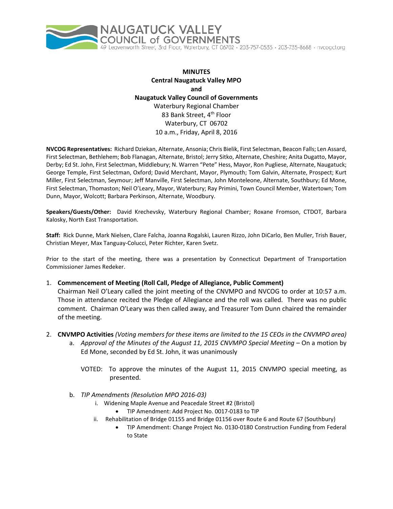

**MINUTES Central Naugatuck Valley MPO and Naugatuck Valley Council of Governments** Waterbury Regional Chamber 83 Bank Street, 4<sup>th</sup> Floor Waterbury, CT 06702 10 a.m., Friday, April 8, 2016

**NVCOG Representatives:** Richard Dziekan, Alternate, Ansonia; Chris Bielik, First Selectman, Beacon Falls; Len Assard, First Selectman, Bethlehem; Bob Flanagan, Alternate, Bristol; Jerry Sitko, Alternate, Cheshire; Anita Dugatto, Mayor, Derby; Ed St. John, First Selectman, Middlebury; N. Warren "Pete" Hess, Mayor, Ron Pugliese, Alternate, Naugatuck; George Temple, First Selectman, Oxford; David Merchant, Mayor, Plymouth; Tom Galvin, Alternate, Prospect; Kurt Miller, First Selectman, Seymour; Jeff Manville, First Selectman, John Monteleone, Alternate, Southbury; Ed Mone, First Selectman, Thomaston; Neil O'Leary, Mayor, Waterbury; Ray Primini, Town Council Member, Watertown; Tom Dunn, Mayor, Wolcott; Barbara Perkinson, Alternate, Woodbury.

**Speakers/Guests/Other:** David Krechevsky, Waterbury Regional Chamber; Roxane Fromson, CTDOT, Barbara Kalosky, North East Transportation.

**Staff:** Rick Dunne, Mark Nielsen, Clare Falcha, Joanna Rogalski, Lauren Rizzo, John DiCarlo, Ben Muller, Trish Bauer, Christian Meyer, Max Tanguay-Colucci, Peter Richter, Karen Svetz.

Prior to the start of the meeting, there was a presentation by Connecticut Department of Transportation Commissioner James Redeker.

1. **Commencement of Meeting (Roll Call, Pledge of Allegiance, Public Comment)**

Chairman Neil O'Leary called the joint meeting of the CNVMPO and NVCOG to order at 10:57 a.m. Those in attendance recited the Pledge of Allegiance and the roll was called. There was no public comment. Chairman O'Leary was then called away, and Treasurer Tom Dunn chaired the remainder of the meeting.

- 2. **CNVMPO Activities** *(Voting members for these items are limited to the 15 CEOs in the CNVMPO area)*
	- a. *Approval of the Minutes of the August 11, 2015 CNVMPO Special Meeting* On a motion by Ed Mone, seconded by Ed St. John, it was unanimously
		- VOTED: To approve the minutes of the August 11, 2015 CNVMPO special meeting, as presented.
	- b. *TIP Amendments (Resolution MPO 2016-03)*
		- i. Widening Maple Avenue and Peacedale Street #2 (Bristol)
			- TIP Amendment: Add Project No. 0017-0183 to TIP
		- ii. Rehabilitation of Bridge 01155 and Bridge 01156 over Route 6 and Route 67 (Southbury)
			- TIP Amendment: Change Project No. 0130-0180 Construction Funding from Federal to State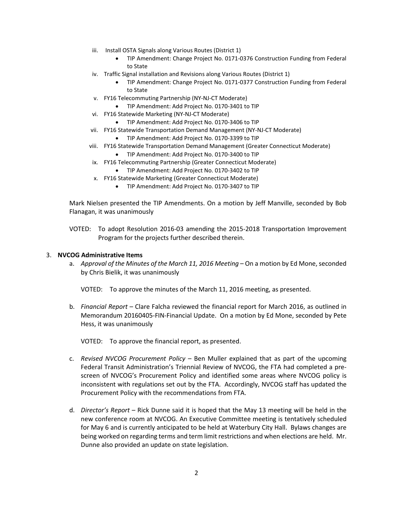- iii. Install OSTA Signals along Various Routes (District 1)
	- TIP Amendment: Change Project No. 0171-0376 Construction Funding from Federal to State
- iv. Traffic Signal installation and Revisions along Various Routes (District 1)
	- TIP Amendment: Change Project No. 0171-0377 Construction Funding from Federal to State
- v. FY16 Telecommuting Partnership (NY-NJ-CT Moderate)
	- TIP Amendment: Add Project No. 0170-3401 to TIP
- vi. FY16 Statewide Marketing (NY-NJ-CT Moderate)
	- TIP Amendment: Add Project No. 0170-3406 to TIP
- vii. FY16 Statewide Transportation Demand Management (NY-NJ-CT Moderate)
	- TIP Amendment: Add Project No. 0170-3399 to TIP
- viii. FY16 Statewide Transportation Demand Management (Greater Connecticut Moderate)
	- TIP Amendment: Add Project No. 0170-3400 to TIP
- ix. FY16 Telecommuting Partnership (Greater Connecticut Moderate)
	- TIP Amendment: Add Project No. 0170-3402 to TIP
- x. FY16 Statewide Marketing (Greater Connecticut Moderate)
	- TIP Amendment: Add Project No. 0170-3407 to TIP

Mark Nielsen presented the TIP Amendments. On a motion by Jeff Manville, seconded by Bob Flanagan, it was unanimously

VOTED: To adopt Resolution 2016-03 amending the 2015-2018 Transportation Improvement Program for the projects further described therein.

#### 3. **NVCOG Administrative Items**

a. *Approval of the Minutes of the March 11, 2016 Meeting* – On a motion by Ed Mone, seconded by Chris Bielik, it was unanimously

VOTED: To approve the minutes of the March 11, 2016 meeting, as presented.

b. *Financial Report* – Clare Falcha reviewed the financial report for March 2016, as outlined in Memorandum 20160405-FIN-Financial Update. On a motion by Ed Mone, seconded by Pete Hess, it was unanimously

VOTED: To approve the financial report, as presented.

- c. *Revised NVCOG Procurement Policy* Ben Muller explained that as part of the upcoming Federal Transit Administration's Triennial Review of NVCOG, the FTA had completed a prescreen of NVCOG's Procurement Policy and identified some areas where NVCOG policy is inconsistent with regulations set out by the FTA. Accordingly, NVCOG staff has updated the Procurement Policy with the recommendations from FTA.
- d. *Director's Report* Rick Dunne said it is hoped that the May 13 meeting will be held in the new conference room at NVCOG. An Executive Committee meeting is tentatively scheduled for May 6 and is currently anticipated to be held at Waterbury City Hall. Bylaws changes are being worked on regarding terms and term limit restrictions and when elections are held. Mr. Dunne also provided an update on state legislation.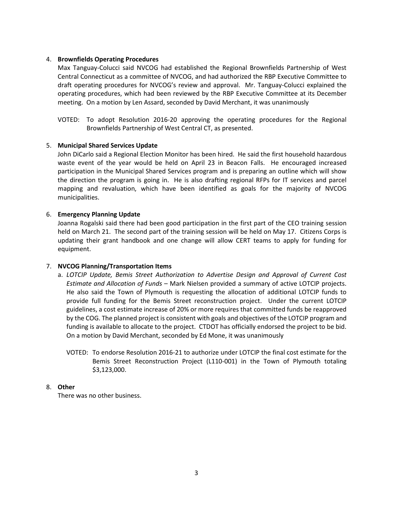# 4. **Brownfields Operating Procedures**

Max Tanguay-Colucci said NVCOG had established the Regional Brownfields Partnership of West Central Connecticut as a committee of NVCOG, and had authorized the RBP Executive Committee to draft operating procedures for NVCOG's review and approval. Mr. Tanguay-Colucci explained the operating procedures, which had been reviewed by the RBP Executive Committee at its December meeting. On a motion by Len Assard, seconded by David Merchant, it was unanimously

VOTED: To adopt Resolution 2016-20 approving the operating procedures for the Regional Brownfields Partnership of West Central CT, as presented.

### 5. **Municipal Shared Services Update**

John DiCarlo said a Regional Election Monitor has been hired. He said the first household hazardous waste event of the year would be held on April 23 in Beacon Falls. He encouraged increased participation in the Municipal Shared Services program and is preparing an outline which will show the direction the program is going in. He is also drafting regional RFPs for IT services and parcel mapping and revaluation, which have been identified as goals for the majority of NVCOG municipalities.

### 6. **Emergency Planning Update**

Joanna Rogalski said there had been good participation in the first part of the CEO training session held on March 21. The second part of the training session will be held on May 17. Citizens Corps is updating their grant handbook and one change will allow CERT teams to apply for funding for equipment.

# 7. **NVCOG Planning/Transportation Items**

- a. *LOTCIP Update, Bemis Street Authorization to Advertise Design and Approval of Current Cost Estimate and Allocation of Funds* – Mark Nielsen provided a summary of active LOTCIP projects. He also said the Town of Plymouth is requesting the allocation of additional LOTCIP funds to provide full funding for the Bemis Street reconstruction project. Under the current LOTCIP guidelines, a cost estimate increase of 20% or more requires that committed funds be reapproved by the COG. The planned project is consistent with goals and objectives of the LOTCIP program and funding is available to allocate to the project. CTDOT has officially endorsed the project to be bid. On a motion by David Merchant, seconded by Ed Mone, it was unanimously
	- VOTED: To endorse Resolution 2016-21 to authorize under LOTCIP the final cost estimate for the Bemis Street Reconstruction Project (L110-001) in the Town of Plymouth totaling \$3,123,000.

### 8. **Other**

There was no other business.